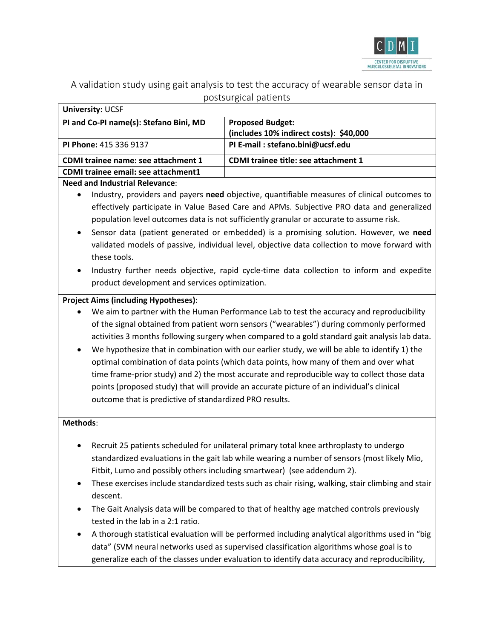

A validation study using gait analysis to test the accuracy of wearable sensor data in postsurgical patients

| <b>University: UCSF</b>                |                                             |
|----------------------------------------|---------------------------------------------|
| PI and Co-PI name(s): Stefano Bini, MD | <b>Proposed Budget:</b>                     |
|                                        | (includes 10% indirect costs): \$40,000     |
| PI Phone: 415 336 9137                 | PI E-mail: stefano.bini@ucsf.edu            |
| CDMI trainee name: see attachment 1    | <b>CDMI trainee title: see attachment 1</b> |
| CDMI trainee email: see attachment1    |                                             |
|                                        |                                             |

### **Need and Industrial Relevance**:

- Industry, providers and payers **need** objective, quantifiable measures of clinical outcomes to effectively participate in Value Based Care and APMs. Subjective PRO data and generalized population level outcomes data is not sufficiently granular or accurate to assume risk.
- Sensor data (patient generated or embedded) is a promising solution. However, we **need** validated models of passive, individual level, objective data collection to move forward with these tools.
- Industry further needs objective, rapid cycle-time data collection to inform and expedite product development and services optimization.

# **Project Aims (including Hypotheses)**:

- We aim to partner with the Human Performance Lab to test the accuracy and reproducibility of the signal obtained from patient worn sensors ("wearables") during commonly performed activities 3 months following surgery when compared to a gold standard gait analysis lab data.
- We hypothesize that in combination with our earlier study, we will be able to identify 1) the optimal combination of data points (which data points, how many of them and over what time frame-prior study) and 2) the most accurate and reproducible way to collect those data points (proposed study) that will provide an accurate picture of an individual's clinical outcome that is predictive of standardized PRO results.

### **Methods**:

- Recruit 25 patients scheduled for unilateral primary total knee arthroplasty to undergo standardized evaluations in the gait lab while wearing a number of sensors (most likely Mio, Fitbit, Lumo and possibly others including smartwear) (see addendum 2).
- These exercises include standardized tests such as chair rising, walking, stair climbing and stair descent.
- The Gait Analysis data will be compared to that of healthy age matched controls previously tested in the lab in a 2:1 ratio.
- A thorough statistical evaluation will be performed including analytical algorithms used in "big data" (SVM neural networks used as supervised classification algorithms whose goal is to generalize each of the classes under evaluation to identify data accuracy and reproducibility,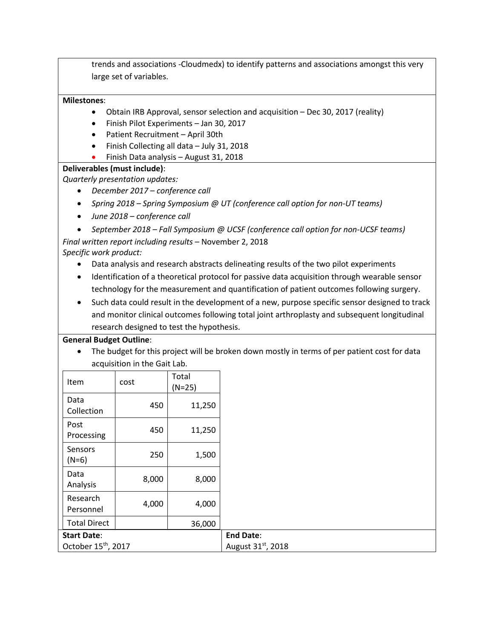trends and associations -Cloudmedx) to identify patterns and associations amongst this very large set of variables.

## **Milestones**:

- Obtain IRB Approval, sensor selection and acquisition Dec 30, 2017 (reality)
- Finish Pilot Experiments Jan 30, 2017
- Patient Recruitment April 30th
- Finish Collecting all data July 31, 2018
- Finish Data analysis August 31, 2018

### **Deliverables (must include)**:

*Quarterly presentation updates:*

- *December 2017 – conference call*
- *Spring 2018 – Spring Symposium @ UT (conference call option for non-UT teams)*
- *June 2018 – conference call*
- *September 2018 – Fall Symposium @ UCSF (conference call option for non-UCSF teams) Final written report including results* – November 2, 2018

*Specific work product:* 

- Data analysis and research abstracts delineating results of the two pilot experiments
- Identification of a theoretical protocol for passive data acquisition through wearable sensor technology for the measurement and quantification of patient outcomes following surgery.
- Such data could result in the development of a new, purpose specific sensor designed to track and monitor clinical outcomes following total joint arthroplasty and subsequent longitudinal research designed to test the hypothesis.

### **General Budget Outline**:

• The budget for this project will be broken down mostly in terms of per patient cost for data acquisition in the Gait Lab.

| Item                            | cost  | Total<br>$(N=25)$ |
|---------------------------------|-------|-------------------|
| Data<br>Collection              | 450   | 11,250            |
| Post<br>Processing              | 450   | 11,250            |
| Sensors<br>$(N=6)$              | 250   | 1,500             |
| Data<br>Analysis                | 8,000 | 8,000             |
| Research<br>Personnel           | 4,000 | 4,000             |
| <b>Total Direct</b>             |       | 36,000            |
| <b>Start Date:</b>              |       |                   |
| October 15 <sup>th</sup> , 2017 |       |                   |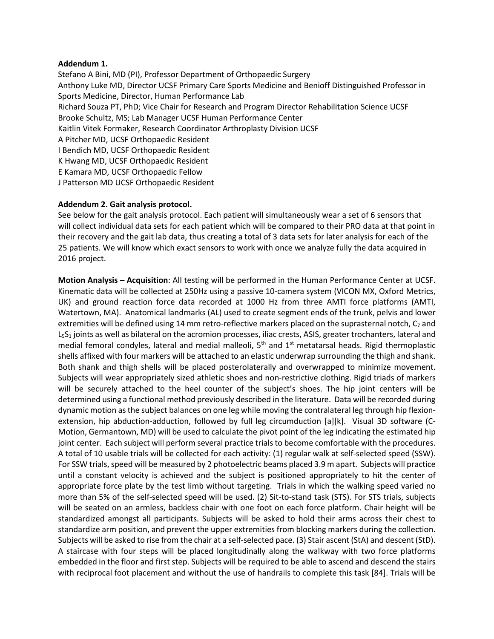#### **Addendum 1.**

Stefano A Bini, MD (PI), Professor Department of Orthopaedic Surgery Anthony Luke MD, Director UCSF Primary Care Sports Medicine and Benioff Distinguished Professor in Sports Medicine, Director, Human Performance Lab Richard Souza PT, PhD; Vice Chair for Research and Program Director Rehabilitation Science UCSF Brooke Schultz, MS; Lab Manager UCSF Human Performance Center Kaitlin Vitek Formaker, Research Coordinator Arthroplasty Division UCSF A Pitcher MD, UCSF Orthopaedic Resident I Bendich MD, UCSF Orthopaedic Resident K Hwang MD, UCSF Orthopaedic Resident E Kamara MD, UCSF Orthopaedic Fellow J Patterson MD UCSF Orthopaedic Resident

### **Addendum 2. Gait analysis protocol.**

See below for the gait analysis protocol. Each patient will simultaneously wear a set of 6 sensors that will collect individual data sets for each patient which will be compared to their PRO data at that point in their recovery and the gait lab data, thus creating a total of 3 data sets for later analysis for each of the 25 patients. We will know which exact sensors to work with once we analyze fully the data acquired in 2016 project.

**Motion Analysis – Acquisition**: All testing will be performed in the Human Performance Center at UCSF. Kinematic data will be collected at 250Hz using a passive 10-camera system (VICON MX, Oxford Metrics, UK) and ground reaction force data recorded at 1000 Hz from three AMTI force platforms (AMTI, Watertown, MA). Anatomical landmarks (AL) used to create segment ends of the trunk, pelvis and lower extremities will be defined using 14 mm retro-reflective markers placed on the suprasternal notch,  $C_7$  and L<sub>5</sub>S<sub>1</sub> joints as well as bilateral on the acromion processes, iliac crests, ASIS, greater trochanters, lateral and medial femoral condyles, lateral and medial malleoli,  $5<sup>th</sup>$  and  $1<sup>st</sup>$  metatarsal heads. Rigid thermoplastic shells affixed with four markers will be attached to an elastic underwrap surrounding the thigh and shank. Both shank and thigh shells will be placed posterolaterally and overwrapped to minimize movement. Subjects will wear appropriately sized athletic shoes and non-restrictive clothing. Rigid triads of markers will be securely attached to the heel counter of the subject's shoes. The hip joint centers will be determined using a functional method previously described in the literature. Data will be recorded during dynamic motion as the subject balances on one leg while moving the contralateral leg through hip flexionextension, hip abduction-adduction, followed by full leg circumduction [a][k]. Visual 3D software (C-Motion, Germantown, MD) will be used to calculate the pivot point of the leg indicating the estimated hip joint center. Each subject will perform several practice trials to become comfortable with the procedures. A total of 10 usable trials will be collected for each activity: (1) regular walk at self-selected speed (SSW). For SSW trials, speed will be measured by 2 photoelectric beams placed 3.9 m apart. Subjects will practice until a constant velocity is achieved and the subject is positioned appropriately to hit the center of appropriate force plate by the test limb without targeting. Trials in which the walking speed varied no more than 5% of the self-selected speed will be used. (2) Sit-to-stand task (STS). For STS trials, subjects will be seated on an armless, backless chair with one foot on each force platform. Chair height will be standardized amongst all participants. Subjects will be asked to hold their arms across their chest to standardize arm position, and prevent the upper extremities from blocking markers during the collection. Subjects will be asked to rise from the chair at a self-selected pace. (3) Stair ascent (StA) and descent (StD). A staircase with four steps will be placed longitudinally along the walkway with two force platforms embedded in the floor and first step. Subjects will be required to be able to ascend and descend the stairs with reciprocal foot placement and without the use of handrails to complete this task [84]. Trials will be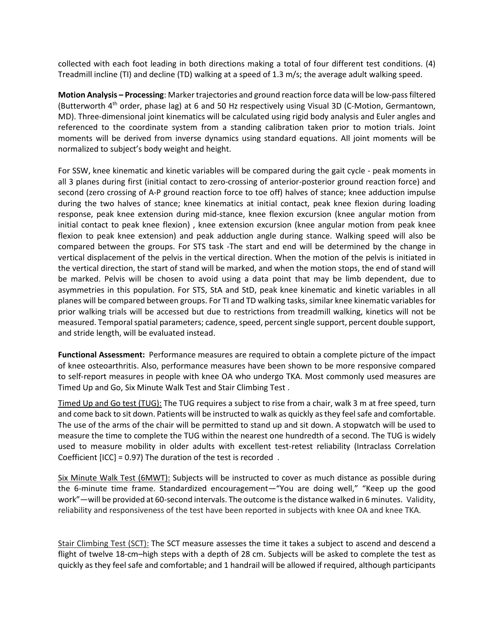collected with each foot leading in both directions making a total of four different test conditions. (4) Treadmill incline (TI) and decline (TD) walking at a speed of 1.3 m/s; the average adult walking speed.

**Motion Analysis – Processing**: Marker trajectories and ground reaction force data will be low-pass filtered (Butterworth 4th order, phase lag) at 6 and 50 Hz respectively using Visual 3D (C-Motion, Germantown, MD). Three-dimensional joint kinematics will be calculated using rigid body analysis and Euler angles and referenced to the coordinate system from a standing calibration taken prior to motion trials. Joint moments will be derived from inverse dynamics using standard equations. All joint moments will be normalized to subject's body weight and height.

For SSW, knee kinematic and kinetic variables will be compared during the gait cycle - peak moments in all 3 planes during first (initial contact to zero-crossing of anterior-posterior ground reaction force) and second (zero crossing of A-P ground reaction force to toe off) halves of stance; knee adduction impulse during the two halves of stance; knee kinematics at initial contact, peak knee flexion during loading response, peak knee extension during mid-stance, knee flexion excursion (knee angular motion from initial contact to peak knee flexion) , knee extension excursion (knee angular motion from peak knee flexion to peak knee extension) and peak adduction angle during stance. Walking speed will also be compared between the groups. For STS task -The start and end will be determined by the change in vertical displacement of the pelvis in the vertical direction. When the motion of the pelvis is initiated in the vertical direction, the start of stand will be marked, and when the motion stops, the end of stand will be marked. Pelvis will be chosen to avoid using a data point that may be limb dependent, due to asymmetries in this population. For STS, StA and StD, peak knee kinematic and kinetic variables in all planes will be compared between groups. For TI and TD walking tasks, similar knee kinematic variables for prior walking trials will be accessed but due to restrictions from treadmill walking, kinetics will not be measured. Temporal spatial parameters; cadence, speed, percent single support, percent double support, and stride length, will be evaluated instead.

**Functional Assessment:** Performance measures are required to obtain a complete picture of the impact of knee osteoarthritis. Also, performance measures have been shown to be more responsive compared to self-report measures in people with knee OA who undergo TKA. Most commonly used measures are Timed Up and Go, Six Minute Walk Test and Stair Climbing Test .

Timed Up and Go test (TUG): The TUG requires a subject to rise from a chair, walk 3 m at free speed, turn and come back to sit down. Patients will be instructed to walk as quickly as they feel safe and comfortable. The use of the arms of the chair will be permitted to stand up and sit down. A stopwatch will be used to measure the time to complete the TUG within the nearest one hundredth of a second. The TUG is widely used to measure mobility in older adults with excellent test-retest reliability (Intraclass Correlation Coefficient [ICC] = 0.97) The duration of the test is recorded .

Six Minute Walk Test (6MWT): Subjects will be instructed to cover as much distance as possible during the 6-minute time frame. Standardized encouragement—"You are doing well," "Keep up the good work"—will be provided at 60-second intervals. The outcome is the distance walked in 6 minutes. Validity, reliability and responsiveness of the test have been reported in subjects with knee OA and knee TKA.

Stair Climbing Test (SCT): The SCT measure assesses the time it takes a subject to ascend and descend a flight of twelve 18-cm–high steps with a depth of 28 cm. Subjects will be asked to complete the test as quickly as they feel safe and comfortable; and 1 handrail will be allowed if required, although participants